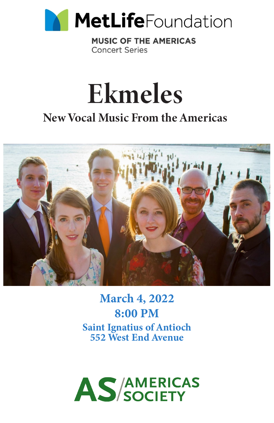

**MUSIC OF THE AMERICAS Concert Series** 



# New Vocal Music From the Americas



March 4, 2022 8:00 PM Saint Ignatius of Antioch 552 West End Avenue

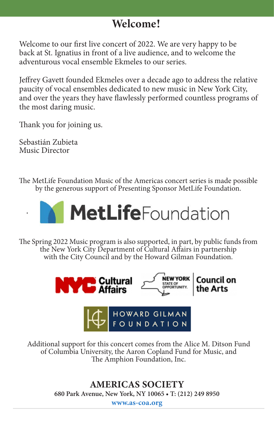#### Welcome!

Welcome to our first live concert of 2022. We are very happy to be back at St. Ignatius in front of a live audience, and to welcome the adventurous vocal ensemble Ekmeles to our series.

Jeffrey Gavett founded Ekmeles over a decade ago to address the relative paucity of vocal ensembles dedicated to new music in New York City, and over the years they have flawlessly performed countless programs of the most daring music.

Thank you for joining us.

Sebastián Zubieta Music Director

**.** 

The MetLife Foundation Music of the Americas concert series is made possible by the generous support of Presenting Sponsor MetLife Foundation.



The Spring 2022 Music program is also supported, in part, by public funds from the New York City Department of Cultural Affairs in partnership with the City Council and by the Howard Gilman Foundation.



Additional support for this concert comes from the Alice M. Ditson Fund of Columbia University, the Aaron Copland Fund for Music, and The Amphion Foundation, Inc.

> AMERICAS SOCIETY **680 Park Avenue, New York, NY 10065 • T: (212) 249 8950**

www.as-coa.org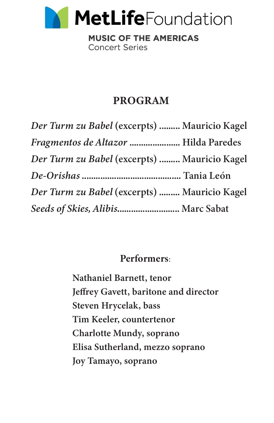

**MUSIC OF THE AMERICAS Concert Series** 

#### PROGRAM

| Der Turm zu Babel (excerpts)  Mauricio Kagel |  |
|----------------------------------------------|--|
| Fragmentos de Altazor  Hilda Paredes         |  |
| Der Turm zu Babel (excerpts)  Mauricio Kagel |  |
|                                              |  |
| Der Turm zu Babel (excerpts)  Mauricio Kagel |  |
| Seeds of Skies, Alibis Marc Sabat            |  |

#### Performers:

 Nathaniel Barnett, tenor Jeffrey Gavett, baritone and director Steven Hrycelak, bass Tim Keeler, countertenor Charlotte Mundy, soprano Elisa Sutherland, mezzo soprano Joy Tamayo, soprano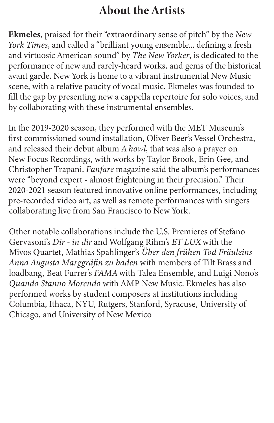# About the Artists

Ekmeles, praised for their "extraordinary sense of pitch" by the *New York Times*, and called a "brilliant young ensemble... defining a fresh and virtuosic American sound" by *The New Yorker*, is dedicated to the performance of new and rarely-heard works, and gems of the historical avant garde. New York is home to a vibrant instrumental New Music scene, with a relative paucity of vocal music. Ekmeles was founded to fill the gap by presenting new a cappella repertoire for solo voices, and by collaborating with these instrumental ensembles.

In the 2019-2020 season, they performed with the MET Museum's first commissioned sound installation, Oliver Beer's Vessel Orchestra, and released their debut album *A howl*, that was also a prayer on New Focus Recordings, with works by Taylor Brook, Erin Gee, and Christopher Trapani. *Fanfare* magazine said the album's performances were "beyond expert - almost frightening in their precision." Their 2020-2021 season featured innovative online performances, including pre-recorded video art, as well as remote performances with singers collaborating live from San Francisco to New York.

Other notable collaborations include the U.S. Premieres of Stefano Gervasoni's *Dir - in dir* and Wolfgang Rihm's *ET LUX* with the Mivos Quartet, Mathias Spahlinger's *Über den frühen Tod Fräuleins Anna Augusta Marggräfin zu baden* with members of Tilt Brass and loadbang, Beat Furrer's *FAMA* with Talea Ensemble, and Luigi Nono's *Quando Stanno Morendo* with AMP New Music. Ekmeles has also performed works by student composers at institutions including Columbia, Ithaca, NYU, Rutgers, Stanford, Syracuse, University of Chicago, and University of New Mexico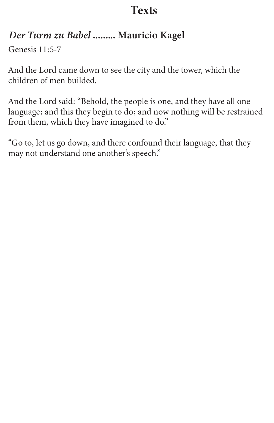#### *Der Turm zu Babel* ......... Mauricio Kagel

Genesis 11:5-7

And the Lord came down to see the city and the tower, which the children of men builded.

And the Lord said: "Behold, the people is one, and they have all one language; and this they begin to do; and now nothing will be restrained from them, which they have imagined to do."

"Go to, let us go down, and there confound their language, that they may not understand one another's speech."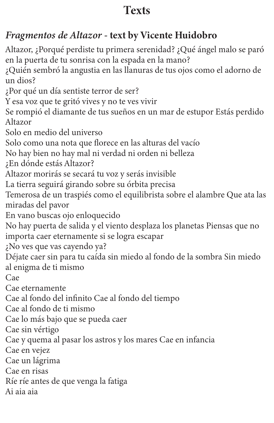## *Fragmentos de Altazor* - text by Vicente Huidobro

Altazor, ¿Porqué perdiste tu primera serenidad? ¿Qué ángel malo se paró en la puerta de tu sonrisa con la espada en la mano?

¿Quién sembró la angustia en las llanuras de tus ojos como el adorno de un dios?

¿Por qué un día sentiste terror de ser?

Y esa voz que te gritó vives y no te ves vivir

Se rompió el diamante de tus sueños en un mar de estupor Estás perdido Altazor

Solo en medio del universo

Solo como una nota que florece en las alturas del vacío

No hay bien no hay mal ni verdad ni orden ni belleza

- ¿En dónde estás Altazor?
- Altazor morirás se secará tu voz y serás invisible

La tierra seguirá girando sobre su órbita precisa

Temerosa de un traspiés como el equilibrista sobre el alambre Que ata las miradas del pavor

En vano buscas ojo enloquecido

No hay puerta de salida y el viento desplaza los planetas Piensas que no importa caer eternamente si se logra escapar

¿No ves que vas cayendo ya?

Déjate caer sin para tu caída sin miedo al fondo de la sombra Sin miedo al enigma de ti mismo

Cae

Cae eternamente

Cae al fondo del infinito Cae al fondo del tiempo

Cae al fondo de ti mismo

Cae lo más bajo que se pueda caer

Cae sin vértigo

Cae y quema al pasar los astros y los mares Cae en infancia

Cae en vejez

Cae un lágrima

Cae en risas

Ríe ríe antes de que venga la fatiga

Ai aia aia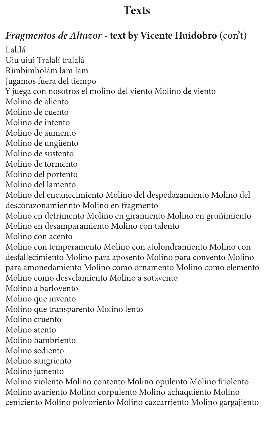### *Fragmentos de Altazor* - text by Vicente Huidobro (con't)

Lalilá Uiu uiui Tralalí tralalá Rimbimbolám lam lam Jugamos fuera del tiempo Y juega con nosotros el molino del viento Molino de viento Molino de aliento Molino de cuento Molino de intento Molino de aumento Molino de ungüento Molino de sustento Molino de tormento Molino del portento Molino del lamento Molino del encanecimiento Molino del despedazamiento Molino del descorazonamiennto Molino en fragmento Molino en detrimento Molino en giramiento Molino en gruñimiento Molino en desamparamiento Molino con talento Molino con acento Molino con temperamento Molino con atolondramiento Molino con desfallecimiento Molino para aposento Molino para convento Molino para amonedamiento Molino como ornamento Molino como elemento Molino como desvelamiento Molino a sotavento Molino a barlovento Molino que invento Molino que transparento Molino lento Molino cruento Molino atento Molino hambriento Molino sediento Molino sangriento Molino jumento Molino violento Molino contento Molino opulento Molino friolento Molino avariento Molino corpulento Molino achaquiento Molino

ceniciento Molino polvoriento Molino cazcarriento Molino gargajiento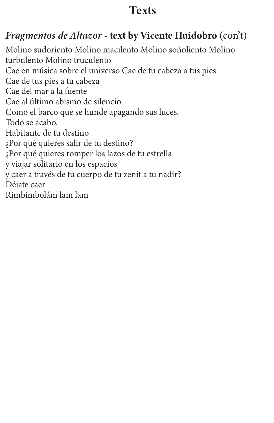#### *Fragmentos de Altazor* - text by Vicente Huidobro (con't)

Molino sudoriento Molino macilento Molino soñoliento Molino turbulento Molino truculento Cae en música sobre el universo Cae de tu cabeza a tus pies Cae de tus pies a tu cabeza Cae del mar a la fuente Cae al último abismo de silencio Como el barco que se hunde apagando sus luces. Todo se acabo. Habitante de tu destino ¿Por qué quieres salir de tu destino? ¿Por qué quieres romper los lazos de tu estrella y viajar solitario en los espacios y caer a través de tu cuerpo de tu zenit a tu nadir? Déjate caer Rimbimbolám lam lam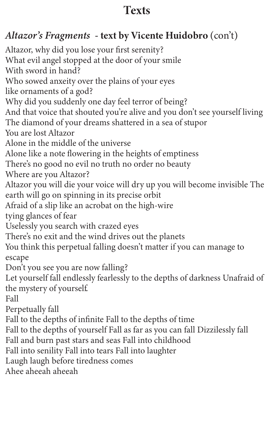## *Altazor's Fragments* - text by Vicente Huidobro (con't)

Altazor, why did you lose your first serenity? What evil angel stopped at the door of your smile With sword in hand? Who sowed anxeity over the plains of your eyes like ornaments of a god? Why did you suddenly one day feel terror of being? And that voice that shouted you're alive and you don't see yourself living The diamond of your dreams shattered in a sea of stupor You are lost Altazor Alone in the middle of the universe Alone like a note flowering in the heights of emptiness There's no good no evil no truth no order no beauty Where are you Altazor? Altazor you will die your voice will dry up you will become invisible The earth will go on spinning in its precise orbit Afraid of a slip like an acrobat on the high-wire tying glances of fear Uselessly you search with crazed eyes There's no exit and the wind drives out the planets You think this perpetual falling doesn't matter if you can manage to escape Don't you see you are now falling? Let yourself fall endlessly fearlessly to the depths of darkness Unafraid of the mystery of yourself. Fall Perpetually fall Fall to the depths of infinite Fall to the depths of time Fall to the depths of yourself Fall as far as you can fall Dizzilessly fall Fall and burn past stars and seas Fall into childhood Fall into senility Fall into tears Fall into laughter Laugh laugh before tiredness comes Ahee aheeah aheeah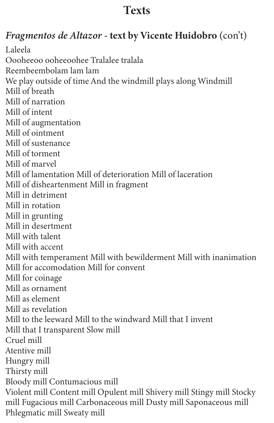## *Fragmentos de Altazor* - text by Vicente Huidobro (con't)

Laleela Oooheeoo ooheeoohee Tralalee tralala Reembeembolam lam lam We play outside of time And the windmill plays along Windmill Mill of breath Mill of narration Mill of intent Mill of augmentation Mill of ointment Mill of sustenance Mill of torment Mill of marvel Mill of lamentation Mill of deterioration Mill of laceration Mill of disheartenment Mill in fragment Mill in detriment Mill in rotation Mill in grunting Mill in desertment Mill with talent Mill with accent Mill with temperament Mill with bewilderment Mill with inanimation Mill for accomodation Mill for convent Mill for coinage Mill as ornament Mill as element Mill as revelation Mill to the leeward Mill to the windward Mill that I invent Mill that I transparent Slow mill Cruel mill Atentive mill Hungry mill Thirsty mill Bloody mill Contumacious mill Violent mill Content mill Opulent mill Shivery mill Stingy mill Stocky mill Fugacious mill Carbonaceous mill Dusty mill Saponaceous mill Phlegmatic mill Sweaty mill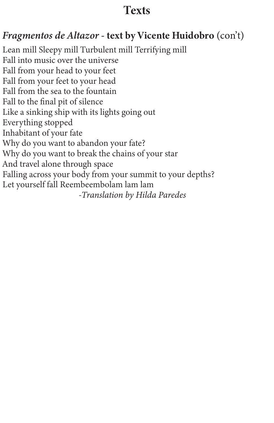#### *Fragmentos de Altazor* - text by Vicente Huidobro (con't)

Lean mill Sleepy mill Turbulent mill Terrifying mill Fall into music over the universe Fall from your head to your feet Fall from your feet to your head Fall from the sea to the fountain Fall to the final pit of silence Like a sinking ship with its lights going out Everything stopped Inhabitant of your fate Why do you want to abandon your fate? Why do you want to break the chains of your star And travel alone through space Falling across your body from your summit to your depths? Let yourself fall Reembeembolam lam lam *-Translation by Hilda Paredes*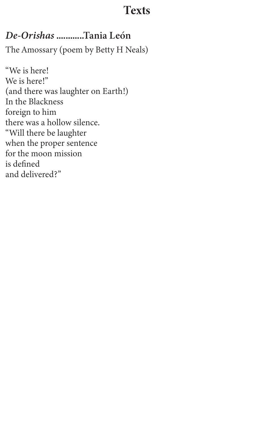#### *De-Orishas* ............Tania León

The Amossary (poem by Betty H Neals)

"We is here! We is here!" (and there was laughter on Earth!) In the Blackness foreign to him there was a hollow silence. "Will there be laughter when the proper sentence for the moon mission is defined and delivered?"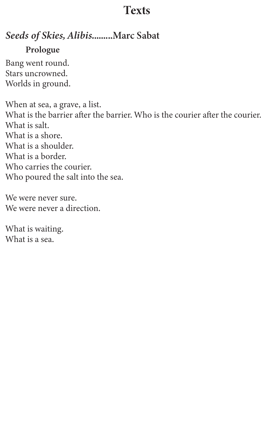#### *Seeds of Skies, Alibis.*........Marc Sabat

#### Prologue

Bang went round. Stars uncrowned. Worlds in ground.

When at sea, a grave, a list. What is the barrier after the barrier. Who is the courier after the courier. What is salt. What is a shore. What is a shoulder. What is a border. Who carries the courier. Who poured the salt into the sea.

We were never sure. We were never a direction.

What is waiting. What is a sea.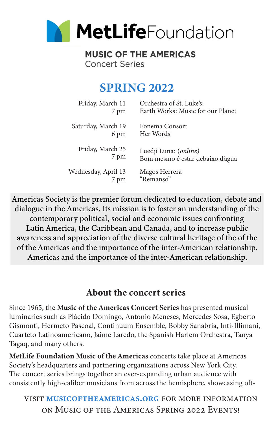

#### **MUSIC OF THE AMERICAS Concert Series**

## SPRING 2022

| Friday, March 11    | Orchestra of St. Luke's:          |
|---------------------|-----------------------------------|
| 7 pm                | Earth Works: Music for our Planet |
| Saturday, March 19  | Fonema Consort                    |
| 6 pm                | Her Words                         |
| Friday, March 25    | Luedji Luna: ( <i>online</i> )    |
| 7 pm                | Bom mesmo é estar debaixo d'agua  |
| Wednesday, April 13 | Magos Herrera                     |
| 7 pm                | "Remanso"                         |

Americas Society is the premier forum dedicated to education, debate and dialogue in the Americas. Its mission is to foster an understanding of the contemporary political, social and economic issues confronting Latin America, the Caribbean and Canada, and to increase public awareness and appreciation of the diverse cultural heritage of the of the of the Americas and the importance of the inter-American relationship. Americas and the importance of the inter-American relationship.

#### About the concert series

Since 1965, the Music of the Americas Concert Series has presented musical luminaries such as Plácido Domingo, Antonio Meneses, Mercedes Sosa, Egberto Gismonti, Hermeto Pascoal, Continuum Ensemble, Bobby Sanabria, Inti-Illimani, Cuarteto Latinoamericano, Jaime Laredo, the Spanish Harlem Orchestra, Tanya Tagaq, and many others.

MetLife Foundation Music of the Americas concerts take place at Americas Society's headquarters and partnering organizations across New York City. The concert series brings together an ever-expanding urban audience with consistently high-caliber musicians from across the hemisphere, showcasing oft-

visit musicoftheamericas.org for more information on Music of the Americas Spring 2022 Events!